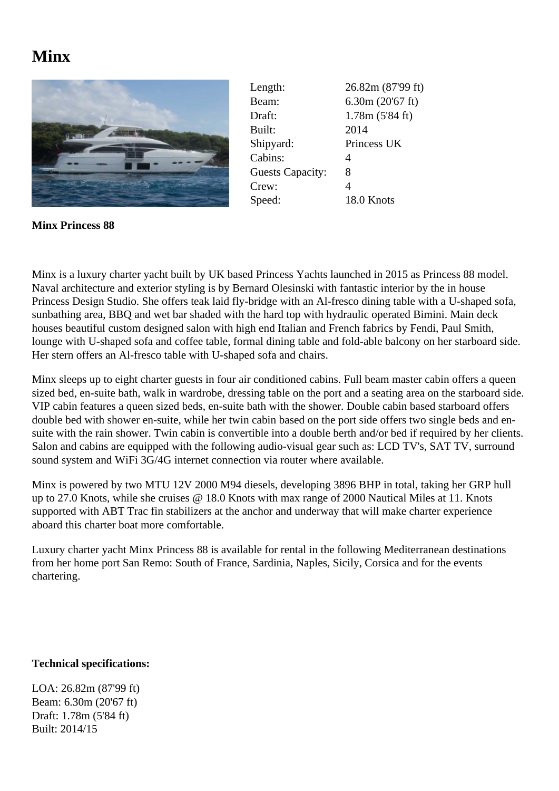## **Minx**



Length: 26.82m (87'99 ft) Beam: 6.30m (20'67 ft) Draft: 1.78m (5'84 ft) Built: 2014 Shipyard: Princess UK Cabins: 4 Guests Capacity: 8 Crew: 4 Speed: 18.0 Knots

**Minx Princess 88**

Minx is a luxury charter yacht built by UK based Princess Yachts launched in 2015 as Princess 88 model. Naval architecture and exterior styling is by Bernard Olesinski with fantastic interior by the in house Princess Design Studio. She offers teak laid fly-bridge with an Al-fresco dining table with a U-shaped sofa, sunbathing area, BBQ and wet bar shaded with the hard top with hydraulic operated Bimini. Main deck houses beautiful custom designed salon with high end Italian and French fabrics by Fendi, Paul Smith, lounge with U-shaped sofa and coffee table, formal dining table and fold-able balcony on her starboard side. Her stern offers an Al-fresco table with U-shaped sofa and chairs.

Minx sleeps up to eight charter guests in four air conditioned cabins. Full beam master cabin offers a queen sized bed, en-suite bath, walk in wardrobe, dressing table on the port and a seating area on the starboard side. VIP cabin features a queen sized beds, en-suite bath with the shower. Double cabin based starboard offers double bed with shower en-suite, while her twin cabin based on the port side offers two single beds and ensuite with the rain shower. Twin cabin is convertible into a double berth and/or bed if required by her clients. Salon and cabins are equipped with the following audio-visual gear such as: LCD TV's, SAT TV, surround sound system and WiFi 3G/4G internet connection via router where available.

Minx is powered by two MTU 12V 2000 M94 diesels, developing 3896 BHP in total, taking her GRP hull up to 27.0 Knots, while she cruises @ 18.0 Knots with max range of 2000 Nautical Miles at 11. Knots supported with ABT Trac fin stabilizers at the anchor and underway that will make charter experience aboard this charter boat more comfortable.

Luxury charter yacht Minx Princess 88 is available for rental in the following Mediterranean destinations from her home port San Remo: South of France, Sardinia, Naples, Sicily, Corsica and for the events chartering.

## **Technical specifications:**

LOA: 26.82m (87'99 ft) Beam: 6.30m (20'67 ft) Draft: 1.78m (5'84 ft) Built: 2014/15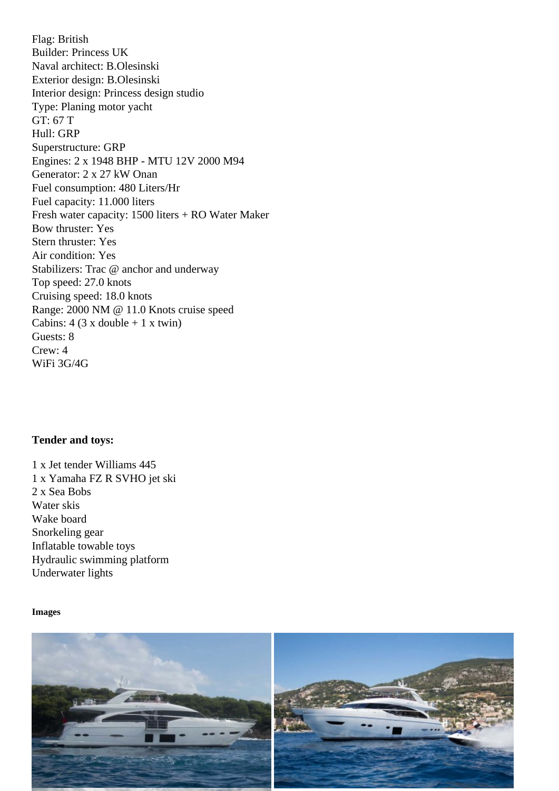Builder: Princess UK Naval architect: B.Olesinski Exterior design: B.Olesinski Interior design: Princess design studio Type: Planing motor yacht GT: 67 T Hull: GRP Superstructure: GRP Engines: 2 x 1948 BHP - MTU 12V 2000 M94 Generator: 2 x 27 kW Onan Fuel consumption: 480 Liters/Hr Fuel capacity: 11.000 liters Fresh water capacity: 1500 liters + RO Water Maker Bow thruster: Yes Stern thruster: Yes Air condition: Yes Stabilizers: Trac @ anchor and underway Top speed: 27.0 knots Cruising speed: 18.0 knots Range: 2000 NM @ 11.0 Knots cruise speed Cabins:  $4$  (3 x double  $+$  1 x twin) Guests: 8 Crew: 4 WiFi 3G/4G

Tender and toys:

1 x Jet tender Williams 445 1 x Yamaha FZ R SVHO jet ski 2 x Sea Bobs Water skis Wake board Snorkeling gear Inflatable towable toys Hydraulic swimming platform Underwater lights

Images